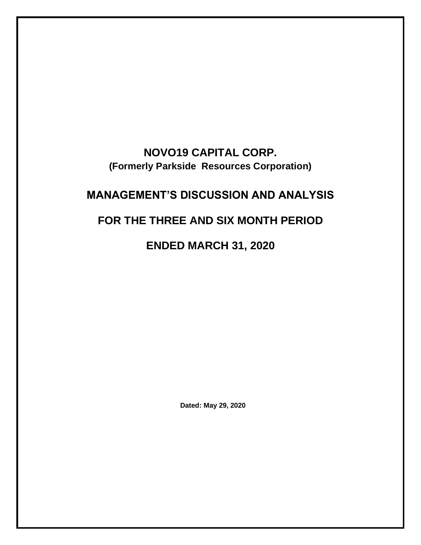# **NOVO19 CAPITAL CORP. (Formerly Parkside Resources Corporation)**

# **MANAGEMENT'S DISCUSSION AND ANALYSIS**

# **FOR THE THREE AND SIX MONTH PERIOD**

**ENDED MARCH 31, 2020**

**Dated: May 29, 2020**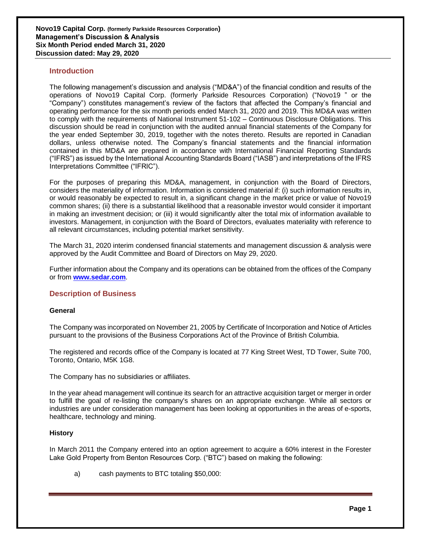## **Introduction**

The following management's discussion and analysis ("MD&A") of the financial condition and results of the operations of Novo19 Capital Corp. (formerly Parkside Resources Corporation) ("Novo19 " or the "Company") constitutes management's review of the factors that affected the Company's financial and operating performance for the six month periods ended March 31, 2020 and 2019. This MD&A was written to comply with the requirements of National Instrument 51-102 – Continuous Disclosure Obligations. This discussion should be read in conjunction with the audited annual financial statements of the Company for the year ended September 30, 2019, together with the notes thereto. Results are reported in Canadian dollars, unless otherwise noted. The Company's financial statements and the financial information contained in this MD&A are prepared in accordance with International Financial Reporting Standards ("IFRS") as issued by the International Accounting Standards Board ("IASB") and interpretations of the IFRS Interpretations Committee ("IFRIC").

For the purposes of preparing this MD&A, management, in conjunction with the Board of Directors, considers the materiality of information. Information is considered material if: (i) such information results in, or would reasonably be expected to result in, a significant change in the market price or value of Novo19 common shares; (ii) there is a substantial likelihood that a reasonable investor would consider it important in making an investment decision; or (iii) it would significantly alter the total mix of information available to investors. Management, in conjunction with the Board of Directors, evaluates materiality with reference to all relevant circumstances, including potential market sensitivity.

The March 31, 2020 interim condensed financial statements and management discussion & analysis were approved by the Audit Committee and Board of Directors on May 29, 2020.

Further information about the Company and its operations can be obtained from the offices of the Company or from **[www.sedar.com](http://www.sedar.com/)**.

## **Description of Business**

### **General**

The Company was incorporated on November 21, 2005 by Certificate of Incorporation and Notice of Articles pursuant to the provisions of the Business Corporations Act of the Province of British Columbia.

The registered and records office of the Company is located at 77 King Street West, TD Tower, Suite 700, Toronto, Ontario, M5K 1G8.

The Company has no subsidiaries or affiliates.

In the year ahead management will continue its search for an attractive acquisition target or merger in order to fulfill the goal of re-listing the company's shares on an appropriate exchange. While all sectors or industries are under consideration management has been looking at opportunities in the areas of e-sports, healthcare, technology and mining.

### **History**

In March 2011 the Company entered into an option agreement to acquire a 60% interest in the Forester Lake Gold Property from Benton Resources Corp. ("BTC") based on making the following:

a) cash payments to BTC totaling \$50,000: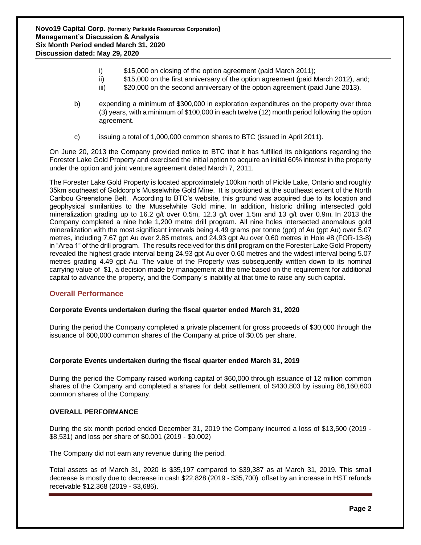- i) \$15,000 on closing of the option agreement (paid March 2011);
- ii) \$15,000 on the first anniversary of the option agreement (paid March 2012), and;
- iii) \$20,000 on the second anniversary of the option agreement (paid June 2013).
- b) expending a minimum of \$300,000 in exploration expenditures on the property over three (3) years, with a minimum of \$100,000 in each twelve (12) month period following the option agreement.
- c) issuing a total of 1,000,000 common shares to BTC (issued in April 2011).

On June 20, 2013 the Company provided notice to BTC that it has fulfilled its obligations regarding the Forester Lake Gold Property and exercised the initial option to acquire an initial 60% interest in the property under the option and joint venture agreement dated March 7, 2011.

The Forester Lake Gold Property is located approximately 100km north of Pickle Lake, Ontario and roughly 35km southeast of Goldcorp's Musselwhite Gold Mine. It is positioned at the southeast extent of the North Caribou Greenstone Belt. According to BTC's website, this ground was acquired due to its location and geophysical similarities to the Musselwhite Gold mine. In addition, historic drilling intersected gold mineralization grading up to 16.2 g/t over 0.5m, 12.3 g/t over 1.5m and 13 g/t over 0.9m. In 2013 the Company completed a nine hole 1,200 metre drill program. All nine holes intersected anomalous gold mineralization with the most significant intervals being 4.49 grams per tonne (gpt) of Au (gpt Au) over 5.07 metres, including 7.67 gpt Au over 2.85 metres, and 24.93 gpt Au over 0.60 metres in Hole #8 (FOR-13-8) in "Area 1" of the drill program. The results received for this drill program on the Forester Lake Gold Property revealed the highest grade interval being 24.93 gpt Au over 0.60 metres and the widest interval being 5.07 metres grading 4.49 gpt Au. The value of the Property was subsequently written down to its nominal carrying value of \$1, a decision made by management at the time based on the requirement for additional capital to advance the property, and the Company`s inability at that time to raise any such capital.

# **Overall Performance**

# **Corporate Events undertaken during the fiscal quarter ended March 31, 2020**

During the period the Company completed a private placement for gross proceeds of \$30,000 through the issuance of 600,000 common shares of the Company at price of \$0.05 per share.

### **Corporate Events undertaken during the fiscal quarter ended March 31, 2019**

During the period the Company raised working capital of \$60,000 through issuance of 12 million common shares of the Company and completed a shares for debt settlement of \$430,803 by issuing 86,160,600 common shares of the Company.

### **OVERALL PERFORMANCE**

During the six month period ended December 31, 2019 the Company incurred a loss of \$13,500 (2019 - \$8,531) and loss per share of \$0.001 (2019 - \$0.002)

The Company did not earn any revenue during the period.

Total assets as of March 31, 2020 is \$35,197 compared to \$39,387 as at March 31, 2019. This small decrease is mostly due to decrease in cash \$22,828 (2019 - \$35,700) offset by an increase in HST refunds receivable \$12,368 (2019 - \$3,686).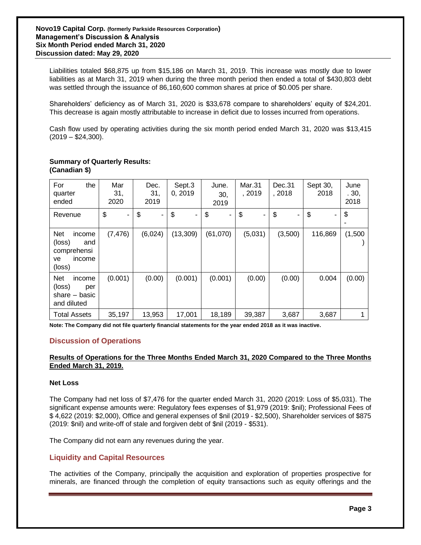Liabilities totaled \$68,875 up from \$15,186 on March 31, 2019. This increase was mostly due to lower liabilities as at March 31, 2019 when during the three month period then ended a total of \$430,803 debt was settled through the issuance of 86,160,600 common shares at price of \$0.005 per share.

Shareholders' deficiency as of March 31, 2020 is \$33,678 compare to shareholders' equity of \$24,201. This decrease is again mostly attributable to increase in deficit due to losses incurred from operations.

Cash flow used by operating activities during the six month period ended March 31, 2020 was \$13,415  $(2019 - $24,300)$ .

#### **Summary of Quarterly Results: (Canadian \$)**

| For<br>the<br>quarter<br>ended                                                 | Mar<br>31,<br>2020 | Dec.<br>31,<br>2019 | Sept.3<br>0, 2019 | June.<br>30,<br>2019 | Mar.31<br>, 2019 | Dec.31<br>, 2018               | Sept 30,<br>2018 | June<br>.30,<br>2018 |
|--------------------------------------------------------------------------------|--------------------|---------------------|-------------------|----------------------|------------------|--------------------------------|------------------|----------------------|
| Revenue                                                                        | \$<br>۰            | \$<br>۰             | \$<br>۰           | \$<br>٠              | \$<br>٠          | $\boldsymbol{\mathsf{S}}$<br>٠ | \$               | \$                   |
| <b>Net</b><br>income<br>(loss)<br>and<br>comprehensi<br>income<br>ve<br>(loss) | (7, 476)           | (6,024)             | (13, 309)         | (61,070)             | (5,031)          | (3,500)                        | 116,869          | (1,500)              |
| <b>Net</b><br>income<br>(loss)<br>per<br>share $-$ basic<br>and diluted        | (0.001)            | (0.00)              | (0.001)           | (0.001)              | (0.00)           | (0.00)                         | 0.004            | (0.00)               |
| <b>Total Assets</b>                                                            | 35,197             | 13,953              | 17,001            | 18,189               | 39,387           | 3,687                          | 3,687            |                      |

**Note: The Company did not file quarterly financial statements for the year ended 2018 as it was inactive.**

# **Discussion of Operations**

## **Results of Operations for the Three Months Ended March 31, 2020 Compared to the Three Months Ended March 31, 2019.**

#### **Net Loss**

The Company had net loss of \$7,476 for the quarter ended March 31, 2020 (2019: Loss of \$5,031). The significant expense amounts were: Regulatory fees expenses of \$1,979 (2019: \$nil); Professional Fees of \$ 4,622 (2019: \$2,000), Office and general expenses of \$nil (2019 - \$2,500), Shareholder services of \$875 (2019: \$nil) and write-off of stale and forgiven debt of \$nil (2019 - \$531).

The Company did not earn any revenues during the year.

### **Liquidity and Capital Resources**

The activities of the Company, principally the acquisition and exploration of properties prospective for minerals, are financed through the completion of equity transactions such as equity offerings and the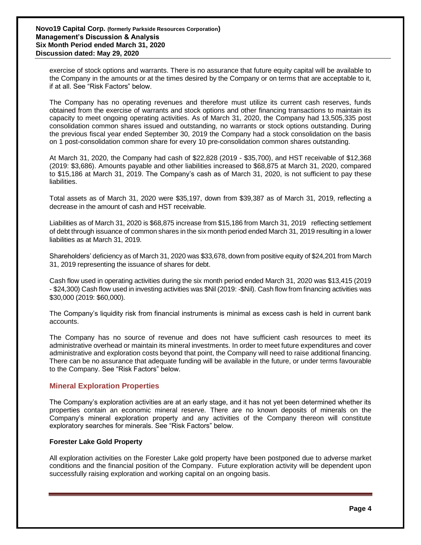exercise of stock options and warrants. There is no assurance that future equity capital will be available to the Company in the amounts or at the times desired by the Company or on terms that are acceptable to it, if at all. See "Risk Factors" below.

The Company has no operating revenues and therefore must utilize its current cash reserves, funds obtained from the exercise of warrants and stock options and other financing transactions to maintain its capacity to meet ongoing operating activities. As of March 31, 2020, the Company had 13,505,335 post consolidation common shares issued and outstanding, no warrants or stock options outstanding. During the previous fiscal year ended September 30, 2019 the Company had a stock consolidation on the basis on 1 post-consolidation common share for every 10 pre-consolidation common shares outstanding.

At March 31, 2020, the Company had cash of \$22,828 (2019 - \$35,700), and HST receivable of \$12,368 (2019: \$3,686). Amounts payable and other liabilities increased to \$68,875 at March 31, 2020, compared to \$15,186 at March 31, 2019. The Company's cash as of March 31, 2020, is not sufficient to pay these liabilities.

Total assets as of March 31, 2020 were \$35,197, down from \$39,387 as of March 31, 2019, reflecting a decrease in the amount of cash and HST receivable.

Liabilities as of March 31, 2020 is \$68,875 increase from \$15,186 from March 31, 2019 reflecting settlement of debt through issuance of common shares in the six month period ended March 31, 2019 resulting in a lower liabilities as at March 31, 2019.

Shareholders' deficiency as of March 31, 2020 was \$33,678, down from positive equity of \$24,201 from March 31, 2019 representing the issuance of shares for debt.

Cash flow used in operating activities during the six month period ended March 31, 2020 was \$13,415 (2019 - \$24,300) Cash flow used in investing activities was \$Nil (2019: -\$Nil). Cash flow from financing activities was \$30,000 (2019: \$60,000).

The Company's liquidity risk from financial instruments is minimal as excess cash is held in current bank accounts.

The Company has no source of revenue and does not have sufficient cash resources to meet its administrative overhead or maintain its mineral investments. In order to meet future expenditures and cover administrative and exploration costs beyond that point, the Company will need to raise additional financing. There can be no assurance that adequate funding will be available in the future, or under terms favourable to the Company. See "Risk Factors" below.

# **Mineral Exploration Properties**

The Company's exploration activities are at an early stage, and it has not yet been determined whether its properties contain an economic mineral reserve. There are no known deposits of minerals on the Company's mineral exploration property and any activities of the Company thereon will constitute exploratory searches for minerals. See "Risk Factors" below.

### **Forester Lake Gold Property**

All exploration activities on the Forester Lake gold property have been postponed due to adverse market conditions and the financial position of the Company. Future exploration activity will be dependent upon successfully raising exploration and working capital on an ongoing basis.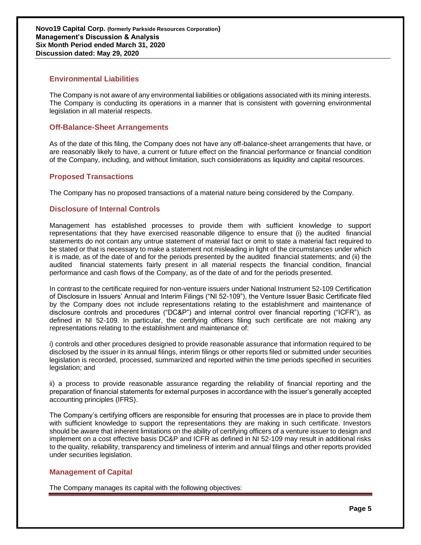# **Environmental Liabilities**

The Company is not aware of any environmental liabilities or obligations associated with its mining interests. The Company is conducting its operations in a manner that is consistent with governing environmental legislation in all material respects.

# **Off-Balance-Sheet Arrangements**

As of the date of this filing, the Company does not have any off-balance-sheet arrangements that have, or are reasonably likely to have, a current or future effect on the financial performance or financial condition of the Company, including, and without limitation, such considerations as liquidity and capital resources.

# **Proposed Transactions**

The Company has no proposed transactions of a material nature being considered by the Company.

# **Disclosure of Internal Controls**

Management has established processes to provide them with sufficient knowledge to support representations that they have exercised reasonable diligence to ensure that (i) the audited financial statements do not contain any untrue statement of material fact or omit to state a material fact required to be stated or that is necessary to make a statement not misleading in light of the circumstances under which it is made, as of the date of and for the periods presented by the audited financial statements; and (ii) the audited financial statements fairly present in all material respects the financial condition, financial performance and cash flows of the Company, as of the date of and for the periods presented.

In contrast to the certificate required for non-venture issuers under National Instrument 52-109 Certification of Disclosure in Issuers' Annual and Interim Filings ("NI 52-109"), the Venture Issuer Basic Certificate filed by the Company does not include representations relating to the establishment and maintenance of disclosure controls and procedures ("DC&P") and internal control over financial reporting ("ICFR"), as defined in NI 52-109. In particular, the certifying officers filing such certificate are not making any representations relating to the establishment and maintenance of:

i) controls and other procedures designed to provide reasonable assurance that information required to be disclosed by the issuer in its annual filings, interim filings or other reports filed or submitted under securities legislation is recorded, processed, summarized and reported within the time periods specified in securities legislation; and

ii) a process to provide reasonable assurance regarding the reliability of financial reporting and the preparation of financial statements for external purposes in accordance with the issuer's generally accepted accounting principles (IFRS).

The Company's certifying officers are responsible for ensuring that processes are in place to provide them with sufficient knowledge to support the representations they are making in such certificate. Investors should be aware that inherent limitations on the ability of certifying officers of a venture issuer to design and implement on a cost effective basis DC&P and ICFR as defined in NI 52-109 may result in additional risks to the quality, reliability, transparency and timeliness of interim and annual filings and other reports provided under securities legislation.

# **Management of Capital**

The Company manages its capital with the following objectives: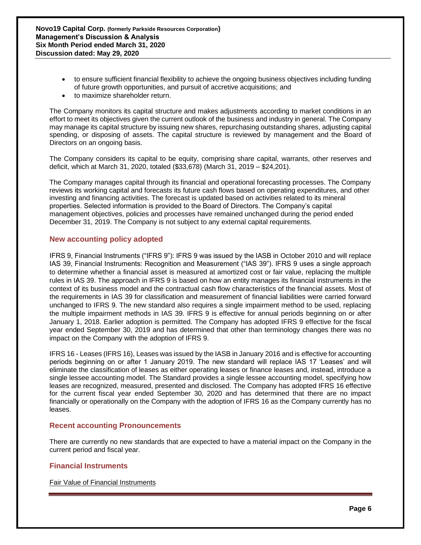- to ensure sufficient financial flexibility to achieve the ongoing business objectives including funding of future growth opportunities, and pursuit of accretive acquisitions; and
- to maximize shareholder return.

The Company monitors its capital structure and makes adjustments according to market conditions in an effort to meet its objectives given the current outlook of the business and industry in general. The Company may manage its capital structure by issuing new shares, repurchasing outstanding shares, adjusting capital spending, or disposing of assets. The capital structure is reviewed by management and the Board of Directors on an ongoing basis.

The Company considers its capital to be equity, comprising share capital, warrants, other reserves and deficit, which at March 31, 2020, totaled (\$33,678) (March 31, 2019 – \$24,201).

The Company manages capital through its financial and operational forecasting processes. The Company reviews its working capital and forecasts its future cash flows based on operating expenditures, and other investing and financing activities. The forecast is updated based on activities related to its mineral properties. Selected information is provided to the Board of Directors. The Company's capital management objectives, policies and processes have remained unchanged during the period ended December 31, 2019. The Company is not subject to any external capital requirements.

# **New accounting policy adopted**

IFRS 9, Financial Instruments ("IFRS 9"): IFRS 9 was issued by the IASB in October 2010 and will replace IAS 39, Financial Instruments: Recognition and Measurement ("IAS 39"). IFRS 9 uses a single approach to determine whether a financial asset is measured at amortized cost or fair value, replacing the multiple rules in IAS 39. The approach in IFRS 9 is based on how an entity manages its financial instruments in the context of its business model and the contractual cash flow characteristics of the financial assets. Most of the requirements in IAS 39 for classification and measurement of financial liabilities were carried forward unchanged to IFRS 9. The new standard also requires a single impairment method to be used, replacing the multiple impairment methods in IAS 39. IFRS 9 is effective for annual periods beginning on or after January 1, 2018. Earlier adoption is permitted. The Company has adopted IFRS 9 effective for the fiscal year ended September 30, 2019 and has determined that other than terminology changes there was no impact on the Company with the adoption of IFRS 9.

IFRS 16 - Leases (IFRS 16), Leases was issued by the IASB in January 2016 and is effective for accounting periods beginning on or after 1 January 2019. The new standard will replace IAS 17 'Leases' and will eliminate the classification of leases as either operating leases or finance leases and, instead, introduce a single lessee accounting model. The Standard provides a single lessee accounting model, specifying how leases are recognized, measured, presented and disclosed. The Company has adopted IFRS 16 effective for the current fiscal year ended September 30, 2020 and has determined that there are no impact financially or operationally on the Company with the adoption of IFRS 16 as the Company currently has no leases.

# **Recent accounting Pronouncements**

There are currently no new standards that are expected to have a material impact on the Company in the current period and fiscal year.

# **Financial Instruments**

Fair Value of Financial Instruments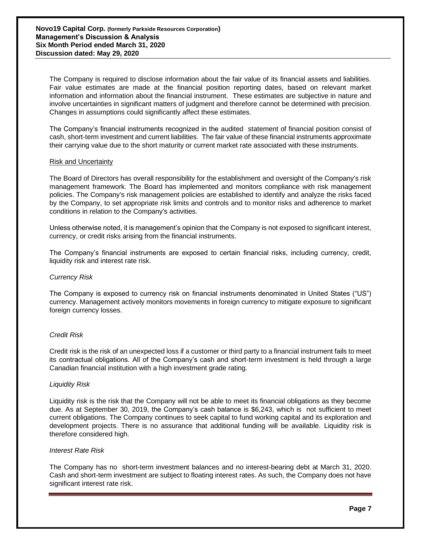The Company is required to disclose information about the fair value of its financial assets and liabilities. Fair value estimates are made at the financial position reporting dates, based on relevant market information and information about the financial instrument. These estimates are subjective in nature and involve uncertainties in significant matters of judgment and therefore cannot be determined with precision. Changes in assumptions could significantly affect these estimates.

The Company's financial instruments recognized in the audited statement of financial position consist of cash, short-term investment and current liabilities. The fair value of these financial instruments approximate their carrying value due to the short maturity or current market rate associated with these instruments.

#### Risk and Uncertainty

The Board of Directors has overall responsibility for the establishment and oversight of the Company's risk management framework. The Board has implemented and monitors compliance with risk management policies. The Company's risk management policies are established to identify and analyze the risks faced by the Company, to set appropriate risk limits and controls and to monitor risks and adherence to market conditions in relation to the Company's activities.

Unless otherwise noted, it is management's opinion that the Company is not exposed to significant interest, currency, or credit risks arising from the financial instruments.

The Company's financial instruments are exposed to certain financial risks, including currency, credit, liquidity risk and interest rate risk.

### *Currency Risk*

The Company is exposed to currency risk on financial instruments denominated in United States ("US") currency. Management actively monitors movements in foreign currency to mitigate exposure to significant foreign currency losses.

### *Credit Risk*

Credit risk is the risk of an unexpected loss if a customer or third party to a financial instrument fails to meet its contractual obligations. All of the Company's cash and short-term investment is held through a large Canadian financial institution with a high investment grade rating.

#### *Liquidity Risk*

Liquidity risk is the risk that the Company will not be able to meet its financial obligations as they become due. As at September 30, 2019, the Company's cash balance is \$6,243, which is not sufficient to meet current obligations. The Company continues to seek capital to fund working capital and its exploration and development projects. There is no assurance that additional funding will be available. Liquidity risk is therefore considered high.

#### *Interest Rate Risk*

The Company has no short-term investment balances and no interest-bearing debt at March 31, 2020. Cash and short-term investment are subject to floating interest rates. As such, the Company does not have significant interest rate risk.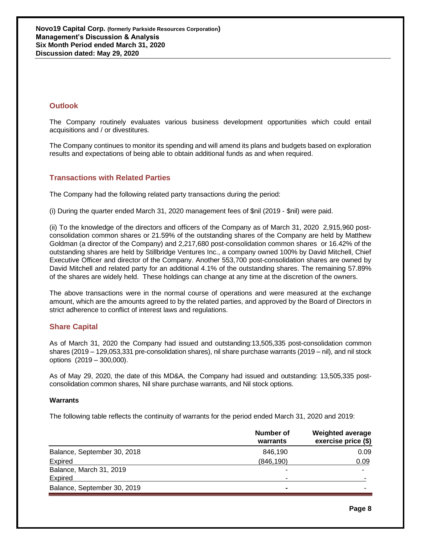# **Outlook**

The Company routinely evaluates various business development opportunities which could entail acquisitions and / or divestitures.

The Company continues to monitor its spending and will amend its plans and budgets based on exploration results and expectations of being able to obtain additional funds as and when required.

# **Transactions with Related Parties**

The Company had the following related party transactions during the period:

(i) During the quarter ended March 31, 2020 management fees of \$nil (2019 - \$nil) were paid.

(ii) To the knowledge of the directors and officers of the Company as of March 31, 2020 2,915,960 postconsolidation common shares or 21.59% of the outstanding shares of the Company are held by Matthew Goldman (a director of the Company) and 2,217,680 post-consolidation common shares or 16.42% of the outstanding shares are held by Stillbridge Ventures Inc., a company owned 100% by David Mitchell, Chief Executive Officer and director of the Company. Another 553,700 post-consolidation shares are owned by David Mitchell and related party for an additional 4.1% of the outstanding shares. The remaining 57.89% of the shares are widely held. These holdings can change at any time at the discretion of the owners.

The above transactions were in the normal course of operations and were measured at the exchange amount, which are the amounts agreed to by the related parties, and approved by the Board of Directors in strict adherence to conflict of interest laws and regulations.

# **Share Capital**

As of March 31, 2020 the Company had issued and outstanding:13,505,335 post-consolidation common shares (2019 – 129,053,331 pre-consolidation shares), nil share purchase warrants (2019 – nil), and nil stock options (2019 – 300,000).

As of May 29, 2020, the date of this MD&A, the Company had issued and outstanding: 13,505,335 postconsolidation common shares, Nil share purchase warrants, and Nil stock options.

### **Warrants**

The following table reflects the continuity of warrants for the period ended March 31, 2020 and 2019:

|                             | Number of<br>warrants | <b>Weighted average</b><br>exercise price (\$) |
|-----------------------------|-----------------------|------------------------------------------------|
| Balance, September 30, 2018 | 846,190               | 0.09                                           |
| <b>Expired</b>              | (846, 190)            | 0.09                                           |
| Balance, March 31, 2019     |                       | ۰                                              |
| Expired                     |                       |                                                |
| Balance, September 30, 2019 | $\blacksquare$        |                                                |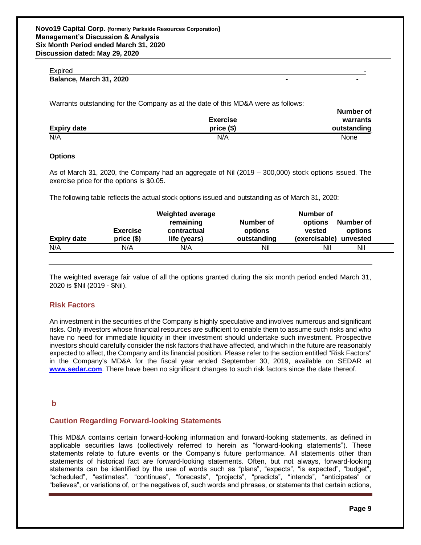#### Expired **Expired** and the contract of the contract of the contract of the contract of the contract of the contract of the contract of the contract of the contract of the contract of the contract of the contract of the cont

# **Balance, March 31, 2020**

Warrants outstanding for the Company as at the date of this MD&A were as follows:

|                    | <b>Exercise</b> | .<br>warrants |
|--------------------|-----------------|---------------|
| <b>Expiry date</b> | $price($)$      | outstanding   |
| N/A                | N/A             | <b>None</b>   |

#### **Options**

As of March 31, 2020, the Company had an aggregate of Nil (2019 – 300,000) stock options issued. The exercise price for the options is \$0.05.

The following table reflects the actual stock options issued and outstanding as of March 31, 2020:

| <b>Expiry date</b> | <b>Exercise</b><br>$price($)$ | <b>Weighted average</b><br>remaining<br>contractual<br>life (years) | Number of<br>options<br>outstanding | Number of<br>Number of<br>options<br>vested<br>options<br>(exercisable) unvested |
|--------------------|-------------------------------|---------------------------------------------------------------------|-------------------------------------|----------------------------------------------------------------------------------|
| N/A                | N/A                           | N/A                                                                 | Nil                                 | Nil<br>Nil                                                                       |
|                    |                               |                                                                     |                                     |                                                                                  |

The weighted average fair value of all the options granted during the six month period ended March 31, 2020 is \$Nil (2019 - \$Nil).

### **Risk Factors**

**\_\_**

An investment in the securities of the Company is highly speculative and involves numerous and significant risks. Only investors whose financial resources are sufficient to enable them to assume such risks and who have no need for immediate liquidity in their investment should undertake such investment. Prospective investors should carefully consider the risk factors that have affected, and which in the future are reasonably expected to affect, the Company and its financial position. Please refer to the section entitled "Risk Factors" in the Company's MD&A for the fiscal year ended September 30, 2019, available on SEDAR at **[www.sedar.com](http://www.sedar.com/)**. There have been no significant changes to such risk factors since the date thereof.

### **b**

### **Caution Regarding Forward-looking Statements**

This MD&A contains certain forward-looking information and forward-looking statements, as defined in applicable securities laws (collectively referred to herein as "forward-looking statements"). These statements relate to future events or the Company's future performance. All statements other than statements of historical fact are forward-looking statements. Often, but not always, forward-looking statements can be identified by the use of words such as "plans", "expects", "is expected", "budget", "scheduled", "estimates", "continues", "forecasts", "projects", "predicts", "intends", "anticipates" or "believes", or variations of, or the negatives of, such words and phrases, or statements that certain actions,

**Number of**